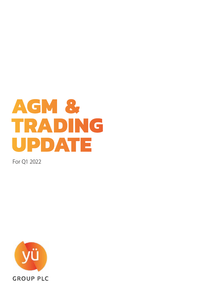

For Q1 2022

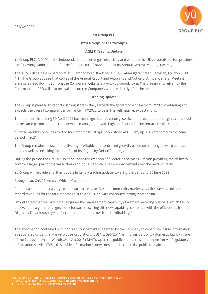

# **Yü Group PLC**

## **("Yü Group" or the "Group")**

### **AGM & Trading Update**

Yü Group PLC (AIM: YU.), the independent supplier of gas, electricity and water to the UK corporate sector, provides the following trading update for the first quarter of 2022 ahead of its Annual General Meeting ("AGM").

The AGM will be held in person at 11:00am today at DLA Piper LLP, 160 Aldersgate Street, Barbican, London EC1A 4HT. The Group advises that copies of the Annual Report and Accounts and Notice of Annual General Meeting are available to download from the Company's website at www.yugroupplc.com. The presentation given by the Chairman and CEO will also be available on the Company's website shortly after the meeting.

### **Trading Update**

The Group is pleased to report a strong start to the year with the good momentum from FY2021 continuing and expects the overall Company performance in FY2022 to be in line with market expectations.

The four months ending 30 April 2022 has seen significant revenue growth, at improved profit margins, compared to the same period in 2021. This provides management with high confidence for the remainder of FY2022.

Average monthly bookings for the four months to 30 April 2022 stood at £13.0m, up 81% compared to the same period in 2021.

The Group remains focused on delivering profitable and controlled growth, based on a strong forward contract book as well as unlocking the benefits of its 'Digital by Default' strategy.

During the period the Group also announced the creation of a Metering Services Division providing the ability to control a larger part of the value chain and drive significant value enhancement over the medium term.

Yü Group will provide a further update in its July trading update, covering the period to 30 June 2022.

Bobby Kalar, Chief Executive Officer, Commented:

"I am pleased to report a very strong start to the year. Despite commodity market volatility, we have delivered record revenues for the four months to 30th April 2022, with continued strong momentum.

I'm delighted that the Group has acquired the management capability of a smart metering business, which I truly believe to be a game-changer. I look forward to scaling this new capability, combined with the efficiencies from our Digital by Default strategy, to further enhance our growth and profitability."

The information contained within this announcement is deemed by the Company to constitute inside information as stipulated under the Market Abuse Regulations (EU) No. 596/2014 as it forms part of UK domestic law by virtue of the European Union (Withdrawal) Act 2018 ('MAR'). Upon the publication of this announcement via Regulatory Information Service ('RIS'), this inside information is now considered to be in the public domain.